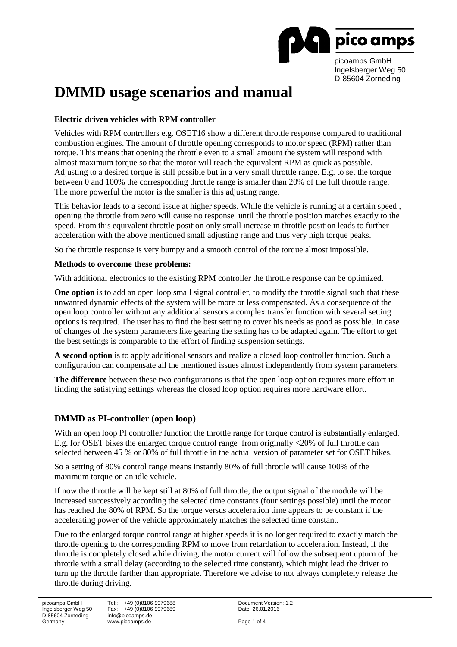

# **DMMD usage scenarios and manual**

### **Electric driven vehicles with RPM controller**

Vehicles with RPM controllers e.g. OSET16 show a different throttle response compared to traditional combustion engines. The amount of throttle opening corresponds to motor speed (RPM) rather than torque. This means that opening the throttle even to a small amount the system will respond with almost maximum torque so that the motor will reach the equivalent RPM as quick as possible. Adjusting to a desired torque is still possible but in a very small throttle range. E.g. to set the torque between 0 and 100% the corresponding throttle range is smaller than 20% of the full throttle range. The more powerful the motor is the smaller is this adjusting range.

This behavior leads to a second issue at higher speeds. While the vehicle is running at a certain speed , opening the throttle from zero will cause no response until the throttle position matches exactly to the speed. From this equivalent throttle position only small increase in throttle position leads to further acceleration with the above mentioned small adjusting range and thus very high torque peaks.

So the throttle response is very bumpy and a smooth control of the torque almost impossible.

#### **Methods to overcome these problems:**

With additional electronics to the existing RPM controller the throttle response can be optimized.

**One option** is to add an open loop small signal controller, to modify the throttle signal such that these unwanted dynamic effects of the system will be more or less compensated. As a consequence of the open loop controller without any additional sensors a complex transfer function with several setting options is required. The user has to find the best setting to cover his needs as good as possible. In case of changes of the system parameters like gearing the setting has to be adapted again. The effort to get the best settings is comparable to the effort of finding suspension settings.

**A second option** is to apply additional sensors and realize a closed loop controller function. Such a configuration can compensate all the mentioned issues almost independently from system parameters.

**The difference** between these two configurations is that the open loop option requires more effort in finding the satisfying settings whereas the closed loop option requires more hardware effort.

# **DMMD as PI-controller (open loop)**

With an open loop PI controller function the throttle range for torque control is substantially enlarged. E.g. for OSET bikes the enlarged torque control range from originally <20% of full throttle can selected between 45 % or 80% of full throttle in the actual version of parameter set for OSET bikes.

So a setting of 80% control range means instantly 80% of full throttle will cause 100% of the maximum torque on an idle vehicle.

If now the throttle will be kept still at 80% of full throttle, the output signal of the module will be increased successively according the selected time constants (four settings possible) until the motor has reached the 80% of RPM. So the torque versus acceleration time appears to be constant if the accelerating power of the vehicle approximately matches the selected time constant.

Due to the enlarged torque control range at higher speeds it is no longer required to exactly match the throttle opening to the corresponding RPM to move from retardation to acceleration. Instead, if the throttle is completely closed while driving, the motor current will follow the subsequent upturn of the throttle with a small delay (according to the selected time constant), which might lead the driver to turn up the throttle farther than appropriate. Therefore we advise to not always completely release the throttle during driving.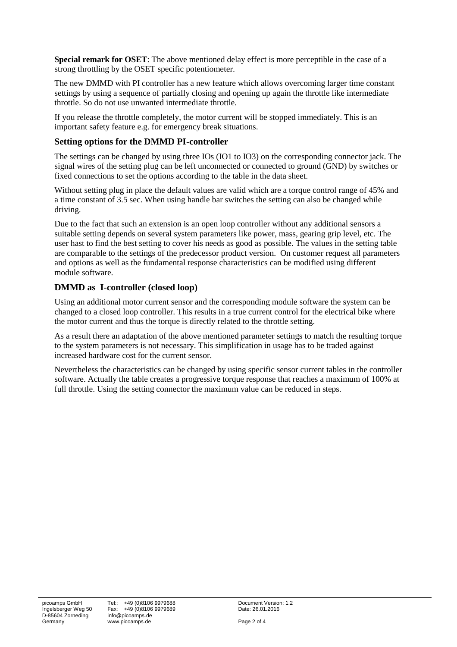**Special remark for OSET**: The above mentioned delay effect is more perceptible in the case of a strong throttling by the OSET specific potentiometer.

The new DMMD with PI controller has a new feature which allows overcoming larger time constant settings by using a sequence of partially closing and opening up again the throttle like intermediate throttle. So do not use unwanted intermediate throttle.

If you release the throttle completely, the motor current will be stopped immediately. This is an important safety feature e.g. for emergency break situations.

### **Setting options for the DMMD PI-controller**

The settings can be changed by using three IOs (IO1 to IO3) on the corresponding connector jack. The signal wires of the setting plug can be left unconnected or connected to ground (GND) by switches or fixed connections to set the options according to the table in the data sheet.

Without setting plug in place the default values are valid which are a torque control range of 45% and a time constant of 3.5 sec. When using handle bar switches the setting can also be changed while driving.

Due to the fact that such an extension is an open loop controller without any additional sensors a suitable setting depends on several system parameters like power, mass, gearing grip level, etc. The user hast to find the best setting to cover his needs as good as possible. The values in the setting table are comparable to the settings of the predecessor product version. On customer request all parameters and options as well as the fundamental response characteristics can be modified using different module software.

# **DMMD as I-controller (closed loop)**

Using an additional motor current sensor and the corresponding module software the system can be changed to a closed loop controller. This results in a true current control for the electrical bike where the motor current and thus the torque is directly related to the throttle setting.

As a result there an adaptation of the above mentioned parameter settings to match the resulting torque to the system parameters is not necessary. This simplification in usage has to be traded against increased hardware cost for the current sensor.

Nevertheless the characteristics can be changed by using specific sensor current tables in the controller software. Actually the table creates a progressive torque response that reaches a maximum of 100% at full throttle. Using the setting connector the maximum value can be reduced in steps.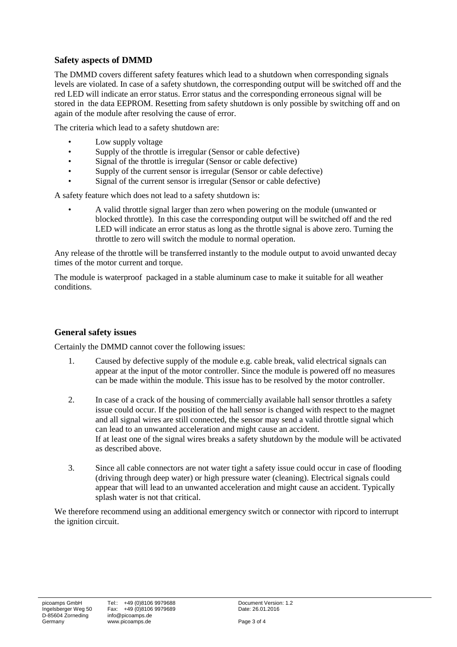# **Safety aspects of DMMD**

The DMMD covers different safety features which lead to a shutdown when corresponding signals levels are violated. In case of a safety shutdown, the corresponding output will be switched off and the red LED will indicate an error status. Error status and the corresponding erroneous signal will be stored in the data EEPROM. Resetting from safety shutdown is only possible by switching off and on again of the module after resolving the cause of error.

The criteria which lead to a safety shutdown are:

- Low supply voltage
- Supply of the throttle is irregular (Sensor or cable defective)
- Signal of the throttle is irregular (Sensor or cable defective)
- Supply of the current sensor is irregular (Sensor or cable defective)
- Signal of the current sensor is irregular (Sensor or cable defective)

A safety feature which does not lead to a safety shutdown is:

• A valid throttle signal larger than zero when powering on the module (unwanted or blocked throttle). In this case the corresponding output will be switched off and the red LED will indicate an error status as long as the throttle signal is above zero. Turning the throttle to zero will switch the module to normal operation.

Any release of the throttle will be transferred instantly to the module output to avoid unwanted decay times of the motor current and torque.

The module is waterproof packaged in a stable aluminum case to make it suitable for all weather conditions.

# **General safety issues**

Certainly the DMMD cannot cover the following issues:

- 1. Caused by defective supply of the module e.g. cable break, valid electrical signals can appear at the input of the motor controller. Since the module is powered off no measures can be made within the module. This issue has to be resolved by the motor controller.
- 2. In case of a crack of the housing of commercially available hall sensor throttles a safety issue could occur. If the position of the hall sensor is changed with respect to the magnet and all signal wires are still connected, the sensor may send a valid throttle signal which can lead to an unwanted acceleration and might cause an accident. If at least one of the signal wires breaks a safety shutdown by the module will be activated as described above.
- 3. Since all cable connectors are not water tight a safety issue could occur in case of flooding (driving through deep water) or high pressure water (cleaning). Electrical signals could appear that will lead to an unwanted acceleration and might cause an accident. Typically splash water is not that critical.

We therefore recommend using an additional emergency switch or connector with ripcord to interrupt the ignition circuit.